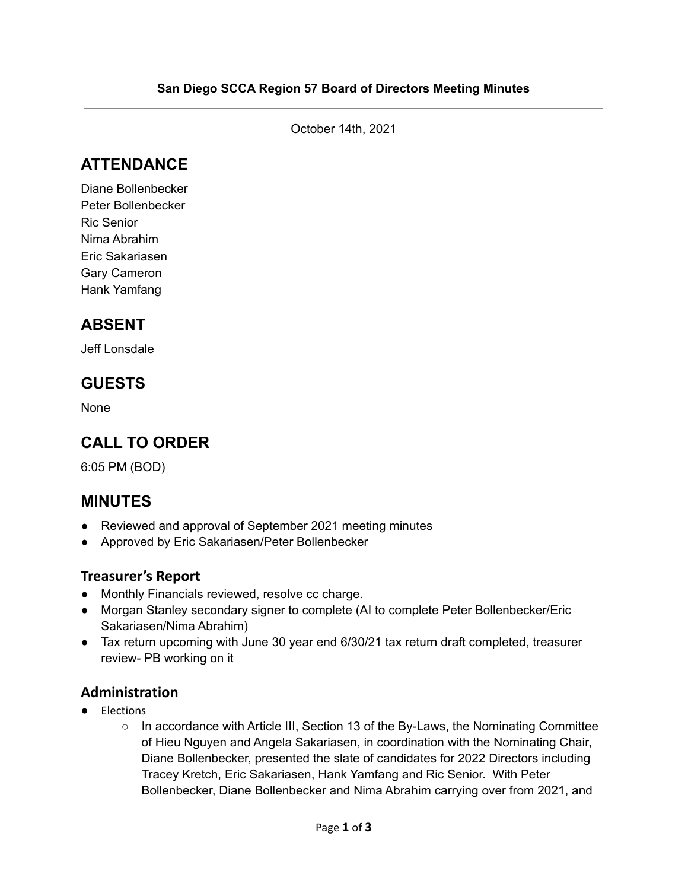October 14th, 2021

## **ATTENDANCE**

Diane Bollenbecker Peter Bollenbecker Ric Senior Nima Abrahim Eric Sakariasen Gary Cameron Hank Yamfang

### **ABSENT**

Jeff Lonsdale

### **GUESTS**

None

## **CALL TO ORDER**

6:05 PM (BOD)

### **MINUTES**

- Reviewed and approval of September 2021 meeting minutes
- Approved by Eric Sakariasen/Peter Bollenbecker

#### **Treasurer's Report**

- Monthly Financials reviewed, resolve cc charge.
- Morgan Stanley secondary signer to complete (AI to complete Peter Bollenbecker/Eric Sakariasen/Nima Abrahim)
- Tax return upcoming with June 30 year end 6/30/21 tax return draft completed, treasurer review- PB working on it

#### **Administration**

- Elections
	- In accordance with Article III, Section 13 of the By-Laws, the Nominating Committee of Hieu Nguyen and Angela Sakariasen, in coordination with the Nominating Chair, Diane Bollenbecker, presented the slate of candidates for 2022 Directors including Tracey Kretch, Eric Sakariasen, Hank Yamfang and Ric Senior. With Peter Bollenbecker, Diane Bollenbecker and Nima Abrahim carrying over from 2021, and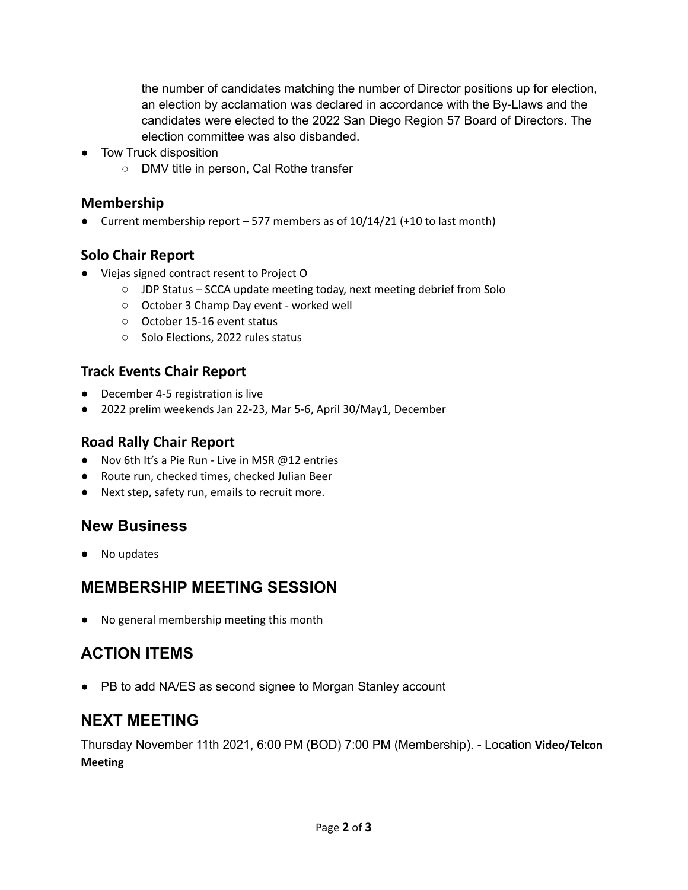the number of candidates matching the number of Director positions up for election, an election by acclamation was declared in accordance with the By-Llaws and the candidates were elected to the 2022 San Diego Region 57 Board of Directors. The election committee was also disbanded.

- Tow Truck disposition
	- DMV title in person, Cal Rothe transfer

#### **Membership**

● Current membership report – 577 members as of 10/14/21 (+10 to last month)

### **Solo Chair Report**

- **●** Viejas signed contract resent to Project O
	- JDP Status SCCA update meeting today, next meeting debrief from Solo
	- October 3 Champ Day event worked well
	- October 15-16 event status
	- Solo Elections, 2022 rules status

### **Track Events Chair Report**

- December 4-5 registration is live
- 2022 prelim weekends Jan 22-23, Mar 5-6, April 30/May1, December

#### **Road Rally Chair Report**

- Nov 6th It's a Pie Run Live in MSR @12 entries
- Route run, checked times, checked Julian Beer
- Next step, safety run, emails to recruit more.

### **New Business**

● No updates

# **MEMBERSHIP MEETING SESSION**

No general membership meeting this month

# **ACTION ITEMS**

● PB to add NA/ES as second signee to Morgan Stanley account

# **NEXT MEETING**

Thursday November 11th 2021, 6:00 PM (BOD) 7:00 PM (Membership). - Location **Video/Telcon Meeting**